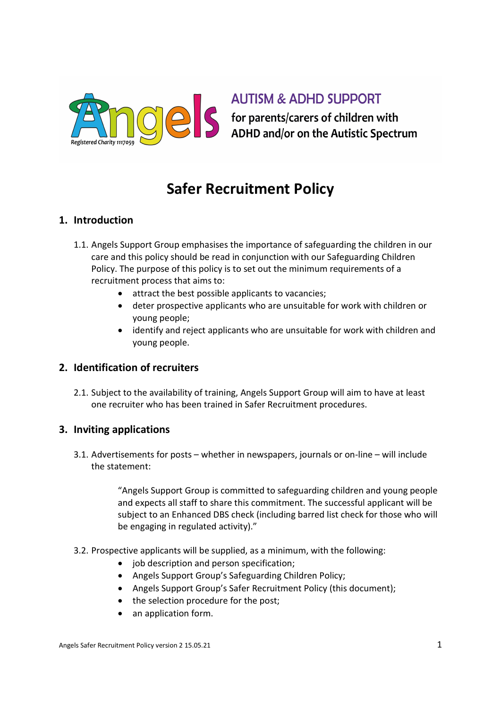

## **AUTISM & ADHD SUPPORT**

S for parents/carers of children with<br>ADHD and/or on the Autistic Spectrum

# Safer Recruitment Policy

#### 1. Introduction

- 1.1. Angels Support Group emphasises the importance of safeguarding the children in our care and this policy should be read in conjunction with our Safeguarding Children Policy. The purpose of this policy is to set out the minimum requirements of a recruitment process that aims to:
	- attract the best possible applicants to vacancies;
	- deter prospective applicants who are unsuitable for work with children or young people;
	- identify and reject applicants who are unsuitable for work with children and young people.

#### 2. Identification of recruiters

2.1. Subject to the availability of training, Angels Support Group will aim to have at least one recruiter who has been trained in Safer Recruitment procedures.

#### 3. Inviting applications

3.1. Advertisements for posts – whether in newspapers, journals or on-line – will include the statement:

> "Angels Support Group is committed to safeguarding children and young people and expects all staff to share this commitment. The successful applicant will be subject to an Enhanced DBS check (including barred list check for those who will be engaging in regulated activity)."

- 3.2. Prospective applicants will be supplied, as a minimum, with the following:
	- job description and person specification;
	- Angels Support Group's Safeguarding Children Policy;
	- Angels Support Group's Safer Recruitment Policy (this document);
	- the selection procedure for the post;
	- an application form.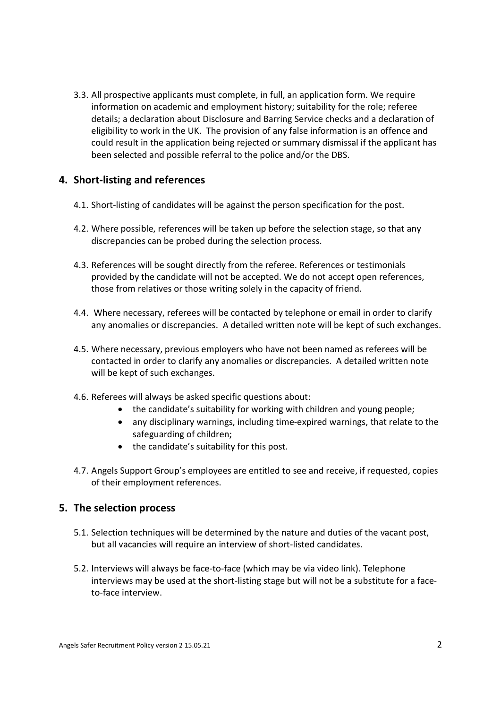3.3. All prospective applicants must complete, in full, an application form. We require information on academic and employment history; suitability for the role; referee details; a declaration about Disclosure and Barring Service checks and a declaration of eligibility to work in the UK. The provision of any false information is an offence and could result in the application being rejected or summary dismissal if the applicant has been selected and possible referral to the police and/or the DBS.

#### 4. Short-listing and references

- 4.1. Short-listing of candidates will be against the person specification for the post.
- 4.2. Where possible, references will be taken up before the selection stage, so that any discrepancies can be probed during the selection process.
- 4.3. References will be sought directly from the referee. References or testimonials provided by the candidate will not be accepted. We do not accept open references, those from relatives or those writing solely in the capacity of friend.
- 4.4. Where necessary, referees will be contacted by telephone or email in order to clarify any anomalies or discrepancies. A detailed written note will be kept of such exchanges.
- 4.5. Where necessary, previous employers who have not been named as referees will be contacted in order to clarify any anomalies or discrepancies. A detailed written note will be kept of such exchanges.
- 4.6. Referees will always be asked specific questions about:
	- the candidate's suitability for working with children and young people;
	- any disciplinary warnings, including time-expired warnings, that relate to the safeguarding of children;
	- the candidate's suitability for this post.
- 4.7. Angels Support Group's employees are entitled to see and receive, if requested, copies of their employment references.

#### 5. The selection process

- 5.1. Selection techniques will be determined by the nature and duties of the vacant post, but all vacancies will require an interview of short-listed candidates.
- 5.2. Interviews will always be face-to-face (which may be via video link). Telephone interviews may be used at the short-listing stage but will not be a substitute for a faceto-face interview.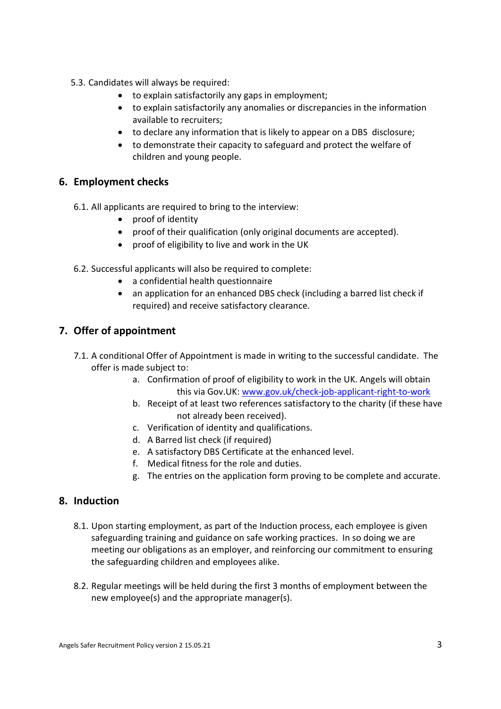- 5.3. Candidates will always be required:
	- to explain satisfactorily any gaps in employment;
	- to explain satisfactorily any anomalies or discrepancies in the information available to recruiters;
	- to declare any information that is likely to appear on a DBS disclosure;
	- to demonstrate their capacity to safeguard and protect the welfare of children and young people.

#### 6. Employment checks

- 6.1. All applicants are required to bring to the interview:
	- proof of identity
	- proof of their qualification (only original documents are accepted).
	- proof of eligibility to live and work in the UK
- 6.2. Successful applicants will also be required to complete:
	- a confidential health questionnaire
	- an application for an enhanced DBS check (including a barred list check if required) and receive satisfactory clearance.

#### 7. Offer of appointment

- 7.1. A conditional Offer of Appointment is made in writing to the successful candidate. The offer is made subject to:
	- a. Confirmation of proof of eligibility to work in the UK. Angels will obtain this via Gov.UK: www.gov.uk/check-job-applicant-right-to-work
	- b. Receipt of at least two references satisfactory to the charity (if these have not already been received).
	- c. Verification of identity and qualifications.
	- d. A Barred list check (if required)
	- e. A satisfactory DBS Certificate at the enhanced level.
	- f. Medical fitness for the role and duties.
	- g. The entries on the application form proving to be complete and accurate.

#### 8. Induction

- 8.1. Upon starting employment, as part of the Induction process, each employee is given safeguarding training and guidance on safe working practices. In so doing we are meeting our obligations as an employer, and reinforcing our commitment to ensuring the safeguarding children and employees alike.
- 8.2. Regular meetings will be held during the first 3 months of employment between the new employee(s) and the appropriate manager(s).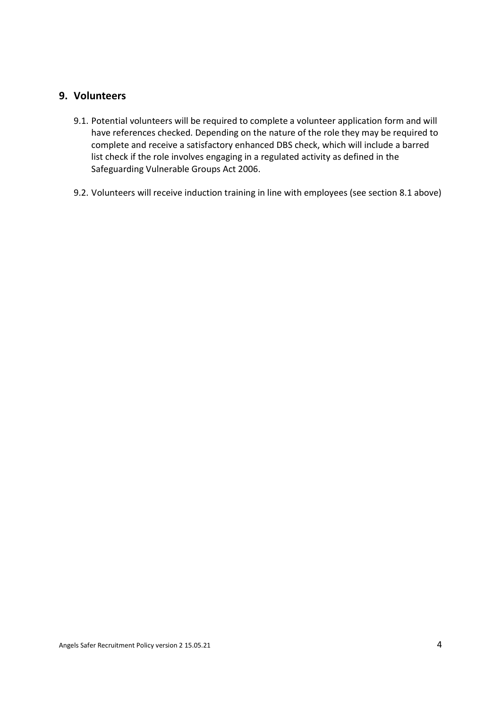#### 9. Volunteers

- 9.1. Potential volunteers will be required to complete a volunteer application form and will have references checked. Depending on the nature of the role they may be required to complete and receive a satisfactory enhanced DBS check, which will include a barred list check if the role involves engaging in a regulated activity as defined in the Safeguarding Vulnerable Groups Act 2006.
- 9.2. Volunteers will receive induction training in line with employees (see section 8.1 above)